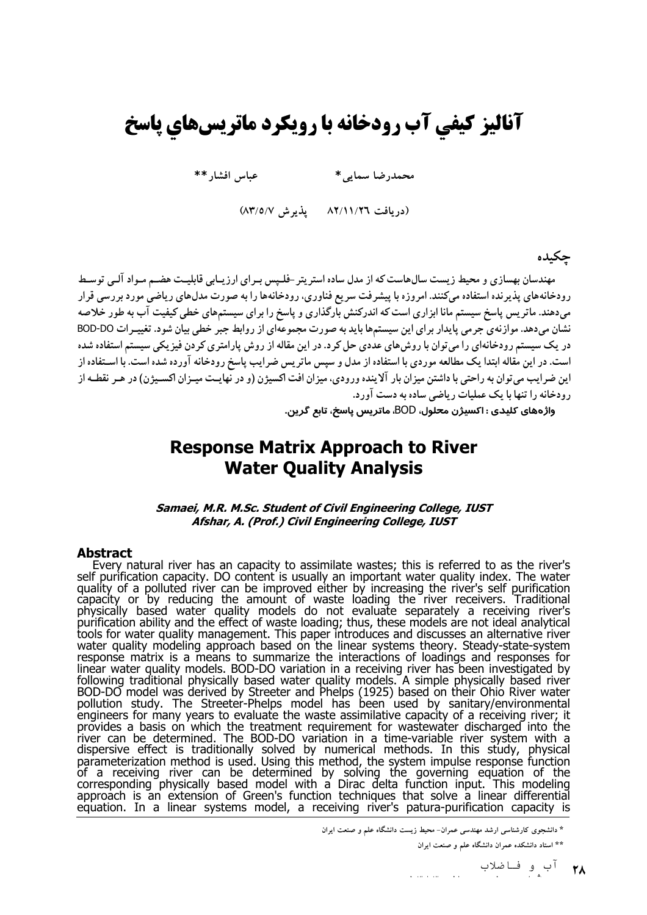# آنالیز کیفی آب رودخانه با رویکرد ماتریسهای پاسخ

عباس افشار $\ast\ast$ 

محمدرضا سمايي \*

(دريافت ٨٢/١١/٢٦ - يذيرش ٨٣/٥/٧)

## حكىدە

مهندسان بهسازی و محیط زیست سالهاست که از مدل ساده استریتر -فلـیس بـرای ارزیـابی قابلیـت هضـم مـواد آلـی توسـط رودخانههای پذیرنده استفاده میکنند. امروزه با پیشرفت سریع فناوری، رودخانهها را به صورت مدلهای ریاضی مورد بررسی قرار میدهند. ماتریس پاسخ سیستم مانا ابزاری است که اندرکنش بارگذاری و پاسخ را برای سیستمهای خطی کیفیت آب به طور خلاصه نشان میدهد. موازنهی جرمی پایدار برای این سیستمها باید به صورت مجموعهای از روابط جبر خطی بیان شود. تغییـرات BOD-DO در یک سیستم رودخانهای را می توان با روش های عددی حل کر د. در این مقاله از روش پارامتری کر دن فیز یکی سیستم استفاده شده است. در این مقاله ابتدا یک مطالعه موردی با استفاده از مدل و سپس ماتریس ضرایب پاسخ رودخانه آورده شده است. با اسـتفاده از این ضرایب می توان به راحتی با داشتن میزان بار آلاینده ورودی، میزان افت اکسیژن (و در نهایـت میـزان اکسـیژن) در هـر نقطـه از رودخانه را تنها با یک عملیات ریاضی ساده به دست آورد.

واژههای کلیدی : اکسیژن م<del>ح</del>لول، BOD، ماتریس یاسخ، تاب*ع* گرین.

# **Response Matrix Approach to River Water Ouality Analysis**

Samaei, M.R. M.Sc. Student of Civil Engineering College, IUST Afshar, A. (Prof.) Civil Engineering College, IUST

#### **Abstract**

Every natural river has an capacity to assimilate wastes; this is referred to as the river's self purification capacity. DO content is usually an important water quality index. The water quality of a polluted river can be physically based water quality models do not evaluate separately a receiving river's<br>purification ability and the effect of waste loading; thus, these models are not ideal analytical<br>tools for water quality management. Thi engineers for many years to evaluate the waste assimilative capacity of a receiving river; it engineers for many years to evaluate the waste assimilative capacity of a receiving river; it provides a basis on which the treatment requirement for wastewater discharged into the river can be determined. The BOD-DO varia

\* دانشجوی کارشناسی ارشد مهندسی عمران- محیط زیست دانشگاه علم و صنعت ایران

\*\* استاد دانشکده عمران دانشگاه علم و صنعت ایران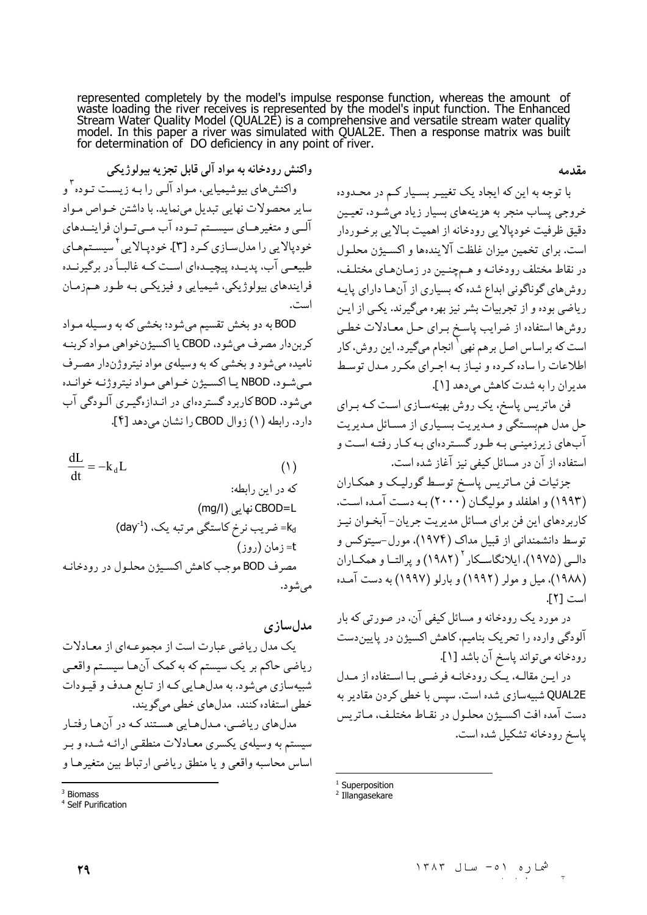represented completely by the model's impulse response function, whereas the amount of waste loading the river receives is represented by the model's input function. The Enhanced Stream Water Quality Model (QUAL2E) is a co model. In this paper a river was simulated with QUAL2E. Then a response matrix was built<br>for determination of DO deficiency in any point of river.

مقدمه

واکنش رودخانه به مواد آلی قابل تجزیه بیولوژیکی واکنشهای بیوشیمیایی، مـواد آلـی را بـه زیسـت تـوده ّ و ساير محصولات نهايي تبديل مي نمايد. با داشتن خـواص مـواد آلــي و متغيرهــاي سيســتم تــوده آب مــيتــوان فراينــدهاي خودپالایی را مدلسـازی کـرد [۳]. خودپـالایی ٔ سیسـتمهـای طبیعـی آب، پدیــده پیچیــدهای اسـت کــه غالبــاً در برگیرنــده فرایندهای بیولوژیکی، شیمیایی و فیزیکـی بـه طـور هـمزمـان است.

BOD به دو بخش تقسیم میشود؛ بخشی که به وسـیله مـواد كربن دار مصرف مي شود، CBOD يا اكسيژنخواهي مـواد كربنـه نامیده می شود و بخشی که به وسیلهی مواد نیتروژندار مصـرف مبي شـود، NBOD يــا اكسـيژن خــواهي مـواد نيتروژنــه خوانــده مي شود. BOD کارېرد گستردهاي در انـدازهگيـري آلـودگي آب دارد. رابطه (١) زوال CBOD را نشان مي دهد [۴].

 $\frac{dL}{dt} = -k_d L$  $(1)$ که در این رابطه: CBOD=L) نهایی (mg/l) (day<sup>-1</sup>) ضریب نرخ کاستگی مرتبه یک، (1 t=زمان (روز) مصرف BOD موجب كاهش اكسيژن محلـول در رودخانـه مې شو د.

مدلسازى یک مدل ریاضی عبارت است از مجموعـهای از معـادلات ریاضی حاکم بر یک سیستم که به کمک آنهـا سیسـتم واقعـی شبیهسازی میشود. به مدلهایی کـه از تـابع هـدف و قیـودات خطی استفاده کنند، مدلهای خطی میگویند. مدلهای ریاضی، مـدلهـایی هسـتند کـه در آنهـا رفتـار سیستم به وسیلهی یکسری معـادلات منطقـی ارائـه شـده و بـر اساس محاسبه واقعي و يا منطق رياضي ارتباط بين متغيرهـا و با توجه به این که ایجاد یک تغییـر بسـیار کـم در محـدوده خروجي پساب منجر به هزينههاي بسيار زياد مي شـود، تعيـين دقيق ظرفيت خوديالايي رودخانه از اهميت بـالايي برخـوردار است. برای تخمین میزان غلظت آلایندهها و اکسیژن محلول در نقاط مختلف رودخانـه و هـمچنـین در زمـانهـای مختلـف، روش های گوناگونی ابداع شده که بسیاری از آنها دارای پایه ریاضی بوده و از تجربیات بشر نیز بهره میگیرند. یکپی از ایـن روشها استفاده از ضرايب پاسخ براي حل معـادلات خطـي است که براساس اصل برهم نهی <sup>۱</sup> انجام میگیرد. این روش، کار اطلاعات را ساده كرده و نياز بـه اجـراي مكـرر مـدل توسـط مدیران را به شدت کاهش می دهد [۱].

فن ماتریس پاسخ، یک روش بهینهسـازی اسـت کـه بـرای حل مدل هم بستگي و مـديريت بسـياري از مسـائل مـديريت آبهای زیرزمینـی بـه طـور گسـتردهای بـه کـار رفتـه اسـت و استفاده از آن در مسائل کیفی نیز آغاز شده است.

جزئیات فن مـاتریس پاسـخ توسـط گورلیـک و همکـاران (۱۹۹۳) و اهلفلد و مولیگـان (۲۰۰۰) بـه دسـت آمـده اسـت. کاربردهای این فن برای مسائل مدیریت جریان- آبخـوان نیـز توسط دانشمندانی از قبیل مداک (۱۹۷۴). مورل-سیتوکس و دالبي (١٩٧۵)، ايلانگاسـكار ` (١٩٨٢) و پر التــا و همكــاران (۱۹۸۸)، میل و مولر (۱۹۹۲) و بارلو (۱۹۹۷) به دست آمده است [٢].

در مورد یک رودخانه و مسائل کیفی آن، در صورتی که بار آلودگی وارده را تحریک بنامیم، کاهش اکسیژن در پایین دست رودخانه مي تواند پاسخ آن باشد [۱].

در ایـن مقالـه، یـک رودخانـه فرضـی بـا اسـتفاده از مـدل QUAL2E شبیهسازی شده است. سپس با خطی کردن مقادیر به دست آمده افت اكسيژن محلـول در نقـاط مختلـف، مـاتريس ياسخ رودخانه تشكيل شده است.

 $3$  Riomacc

<sup>&</sup>lt;sup>4</sup> Self Purification

<sup>&</sup>lt;sup>1</sup> Superposition

<sup>&</sup>lt;sup>2</sup> Illangasekare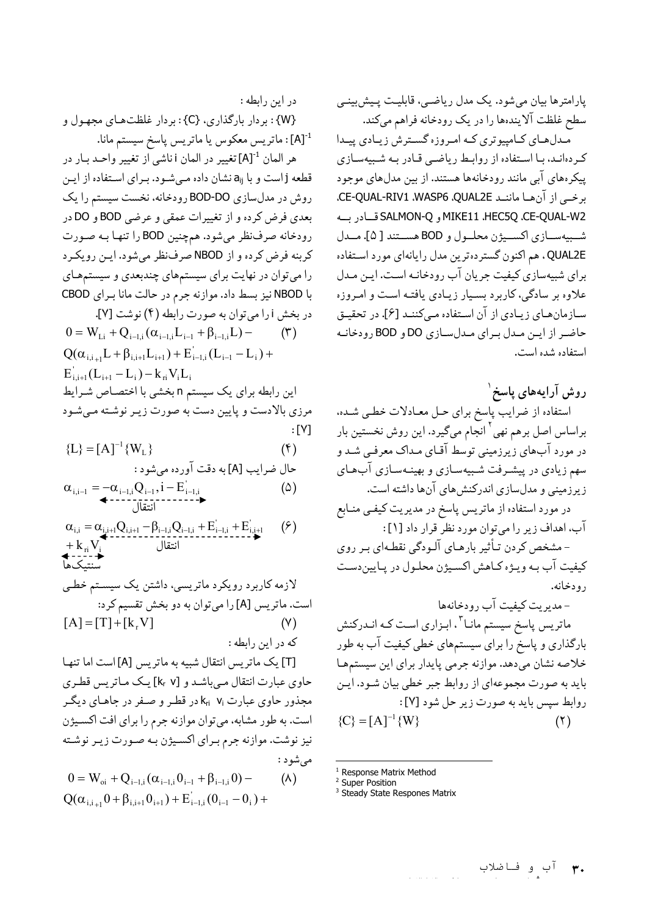يارامترها بيان مي شود. يک مدل رياضـي، قابليـت پـيش:پينـي سطح غلظت آلایندهها را در یک رودخانه فراهم میکند.

مدل های کامپیوتری کـه امـروزه گسـترش زيـادي پيـدا کردهانـد، بـا اسـتفاده از روابـط رياضـي قـادر بـه شـبيهسـازي پیکرههای آبی مانند رودخانهها هستند. از بین مدلهای موجود برخي از آن ها مانند CE-QUAL-RIV1 .WASP6 .QUAL2E. MIKE11 ،HEC5Q ،CE-QUAL-W2 قسادر بسه شبيهسـازي اكســيژن محلـول و BOD هســتند [ ۵]. مــدل QUAL2E . هم اكنون گستر دهترين مدل رايانهاي مورد استفاده برای شبیهسازی کیفیت جریان آب رودخانـه اسـت. ایـن مـدل علاوه بر سادگی، کاربرد بسـیار زیـادی یافتـه اسـت و امـروزه سـازمانهـاي زيـادي از آن اسـتفاده مـيكننـد [۶]. در تحقيـق حاضر از این مدل برای مدلسازی DO و BOD رودخانه استفاده شده است.

روش آرایههای پاسخ ٰ استفاده از ضرایب پاسخ برای حـل معـادلات خطـي شـده. براساس اصل برهم نهي<sup>۲</sup> انجام ميگيرد. اين روش نخستين بار در مورد آبهای زیرزمینی توسط آقـای مـداک معرفـی شـد و سهم زیادی در پیشـرفت شـبیهسـازی و بهینـهسـازی آبِهـای زیرزمینی و مدلسازی اندرکنشهای آنها داشته است. در مورد استفاده از ماتریس پاسخ در مدیریت کیفی منـابع آب، اهداف زير را مي توان مورد نظر قرار داد [۱]:

- مشخص کردن تـأثیر بارهـای آلـودگی نقطـهای بـر روی كيفيت آب بـه ويـژه كـاهش اكسـيژن محلـول در يـايين،دسـت رودخانه.

-مدیریت کیفیت آب رودخانهها ماتریس پاسخ سیستم مانـا<sup>۳</sup>، ابـزاری اسـت کـه انـدرکنش بارگذاری و پاسخ را برای سیستمهای خطی کیفیت آب به طور خلاصه نشان مىدهد. موازنه جرمى پايدار براى اين سيستمها باید به صورت مجموعهای از روابط جبر خطی بیان شـود. ایـن روابط سيس بايد به صورت زير حل شود [٧]:  ${C} = [A]^{-1} {W}$  $(5)$ 

- **Response Matrix Method**
- <sup>2</sup> Super Position
- <sup>3</sup> Steady State Respones Matrix

در اين رابطه :

{W} : بردار بارگذاري، {C} : بردار غلظتهاي مجهول و .<br>[A]: ماتريس معكوس يا ماتريس پاسخ سيستم مانا.

هر العان <sup>1-</sup>[A]تغییر در العان i ناشی از تغییر واحـد بـار در قطعه j است و با a<sub>ij</sub> نشان داده میشود. بـرای اسـتفاده از ایـن روش در مدلسازی BOD-DO رودخانه، نخست سیستم را یک بعدي فرض كرده و از تغييرات عمقي و عرضي BOD و DO در رودخانه صرف نظر میشود. هم چنین BOD را تنها به صورت كربنه فرض كرده و از NBOD صرف نظر مى شود. ايـن رويكـرد را میتوان در نهایت برای سیستمهای چندبعدی و سیستمهای با NBOD نيز بسط داد. موازنه جرم در حالت مانا براي CBOD در بخش ارا می توان به صورت رابطه (۴) نوشت [۷].

 $0 = W_{i,i} + Q_{i-1,i}(\alpha_{i-1,i}L_{i-1} + \beta_{i-1,i}L)$  $(\uparrow)$  $Q(\alpha_{i,i+1}L+\beta_{i,i+1}L_{i+1})+E'_{i-1,i}(L_{i-1}-L_i)+$  $E'_{i,i+1}(L_{i+1}-L_i)-k_{ri}V_iL_i$ این رابطه برای یک سیستم n بخشی با اختصـاص شـرایط مرزی بالادست و پایین دست به صورت زیـر نوشـته مـی شـود  $:$  [ $Y$ ]

$$
\{L\} = [A]^{-1} \{W_L\}
$$
\n
$$
\{L\} = [A]^{-1} \{W_L\}
$$

$$
\alpha_{i,i-1} = -\alpha_{i-1,i} Q_{i-1}, i - E'_{i-1,i}
$$
\n
$$
\longleftrightarrow \qquad (a)
$$

$$
\alpha_{i,i} = \alpha_{i,i+1} Q_{i,i+1} - \beta_{i-1,i} Q_{i-1,i} + E'_{i-1,i} + E'_{i,i+1} \qquad (?)
$$
  
+ 
$$
k_{ri} V_i
$$

[T] یک ماتریس انتقال شبیه به ماتریس [A] است اما تنها حاوي عبارت انتقال مي باشد و [k, v] يك مـاتريس قطـري مجذور حاوی عبارت k<sub>ri</sub> ۷iدر قطر و صفر در جاهـای دیگـر است. به طور مشابه، می توان موازنه جرم را برای افت اکسیژن نیز نوشت. موازنه جرم بـراي اكسـیژن بـه صـورت زيـر نوشـته مے شو د :  $0 = W_{oi} + Q_{i-1,i} (\alpha_{i-1,i} 0_{i-1} + \beta_{i-1,i} 0) (\wedge)$  $Q(\alpha_{i,i+1}0+\beta_{i,i+1}0_{i+1})+E'_{i-1,i}(0_{i-1}-0_{i})+$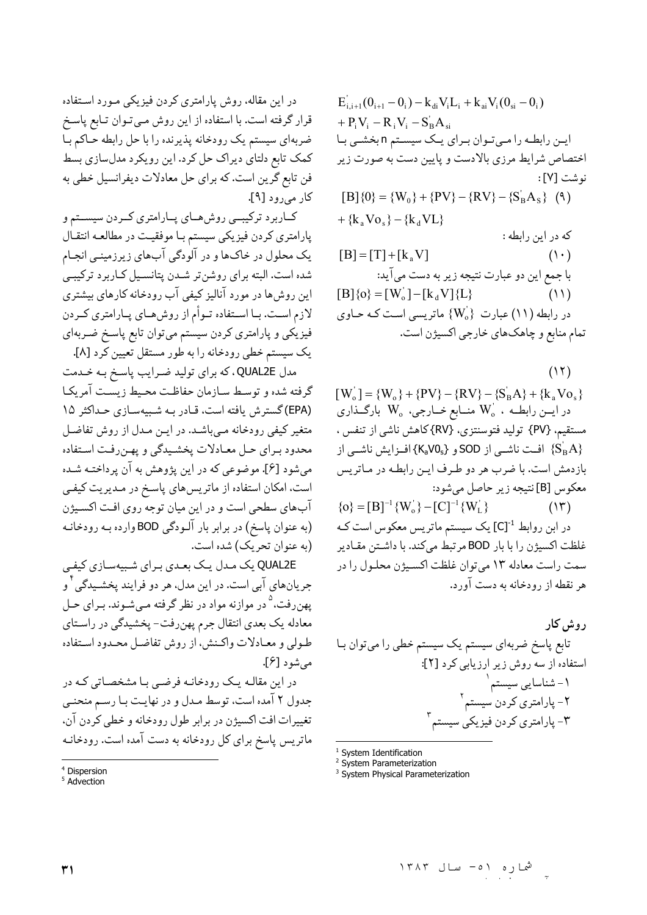در این مقاله، روش پارامتری کردن فیزیکی مـورد اسـتفاده قرار گرفته است. با استفاده از این روش مـیتـوان تـابع پاسـخ ضربهای سیستم یک رودخانه پذیرنده را با حل رابطه حـاکم بـا کمک تابع دلتای دیراک حل کرد. این رویکرد مدلسازی بسط فن تابع گرین است. که برای حل معادلات دیفرانسیل خطی به کار می رود [۹].

کــاربرد ترکیبــی روشهــای پــارامتری کــردن سیســتم و پارامتري كردن فيزيكي سيستم بـا موفقيـت در مطالعـه انتقـال یک محلول در خاک\ا و در آلودگی آبِهای زیرزمینـی انجـام شده است. البته براي روشنتر شدن پتانسيل كاربرد تركيبي این روش ها در مورد آنالیز کیفی آب رودخانه کارهای بیشتری لازم اسـت. بــا اســتفاده تــوأم از روش،هــاي پــارامتري كــردن فیزیکی و پارامتری کردن سیستم میتوان تابع پاسـخ ضـربهای يک سيستم خطي رودخانه را به طور مستقل تعيين کرد [٨].

مدل QUAL2E، كه براي توليد ضرايب پاسخ به خدمت گرفته شده و توسط سازمان حفاظت محيط زيست آمريكا (EPA) گسترش یافته است، قـادر بـه شـبیهسـازی حـداکثر ۱۵ متغیر کیفی رودخانه مبیباشـد. در ایـن مـدل از روش تفاضـل محدود برای حل معادلات پخشیدگی و پهنرفت استفاده مي شود [۶]. موضوعي كه در اين پژوهش به آن پرداختـه شـده است، امکان استفاده از ماتریسهای پاسخ در مـدیریت کیفـی آبهای سطحی است و در این میان توجه روی افت اکسیژن (به عنوان پاسخ) در برابر بار آلـودگي BOD وارده بـه رودخانـه (به عنوان تحريک) شده است.

QUAL2E یک مدل یک بعدی برای شبیهسازی کیفی جریانهای آبی است. در این مدل، هر دو فرایند پخشـیدگی ٔ و یهنرفت،<sup>۵</sup> در موازنه مواد در نظر گرفته مـیشـوند. بـرای حـل معادله یک بعدی انتقال جرم یهن رفت- پخشیدگی در راسـتای طـولي و معـادلات واكـنش، از روش تفاضـل محـدود اسـتفاده می شو د [۶].

در این مقالـه یـک رودخانـه فرضـی بـا مشخصـاتی کـه در جدول ۲ آمده است، توسط مـدل و در نهایـت بـا رسـم منحنـی تغییرات افت اکسیژن در برابر طول رودخانه و خطی کردن آن، ماتریس پاسخ برای کل رودخانه به دست آمده است. رودخانـه

 $E'_{i,i+1}(0_{i+1}-0_i) - k_{di}V_iL_i + k_{ai}V_i(0_{si}-0_i)$ +  $P_iV_i - R_iV_i - S_B'A_{si}$ این رابطه را میتوان برای یک سیستم n بخشی با اختصاص شرایط مرزی بالادست و پایین دست به صورت زیر نوشت [٧]:  $[B]\{0\} = \{W_0\} + \{PV\} - \{RV\} - \{S_R^{\dagger}A_S\}$  (4)  $+ \{k_s V_0\} - \{k_d V_0\}$ که در این رابطه :  $[B] = [T] + [k, V]$  $(1 \cdot)$ با جمع این دو عبارت نتیجه زیر به دست میآید:  $[B]\{o\} = [W'_o] - [k_d V]\{L\}$  $(11)$ در رابطه (١١) عبارت { $\rm\{W_{o}\}$  ماتریسی است کـه حـاوی تمام منابع و چاهکهای خارجی اکسیژن است.

 $(11)$ 

 $[W_0] = {W_0} + {PV} - {RV} - {S_B A} + {k_a V_0}$ در ايــن رابطــه ،  $\rm W_o$  منــابع خــارجى،  $\rm W_o$  بارگــذارى مستقیم، {PV} تولید فتوسنتزی، {RV}كاهش ناشی از تنفس ، افـزايش ناشــي از SOD و {KaVOs} افـزايش ناشــي از {KaVOs} بازدمش است. با ضرب هر دو طـرف ايـن رابطـه در مـاتريس معكوس [B] نتيجه زير حاصل مي شود:

 $\{o\} = [B]^{-1} \{W_o^{\dagger}\} - [C]^{-1} \{W_L^{\dagger}\}$  $(15)$ در ابن روابط CJ<sup>-1</sup> یک سیستم ماتریس معکوس است کـه غلظت اكسيژن را با بار BOD مرتبط مى كند. با داشتن مقادير سمت راست معادله ١٣ مي توان غلظت اكسيژن محلـول را در هر نقطه از رودخانه به دست آورد.

<sup>1</sup> System Identification

<sup>2</sup> System Parameterization

<sup>3</sup> System Physical Parameterization

<sup>&</sup>lt;sup>4</sup> Dispersion

 $5$  Advection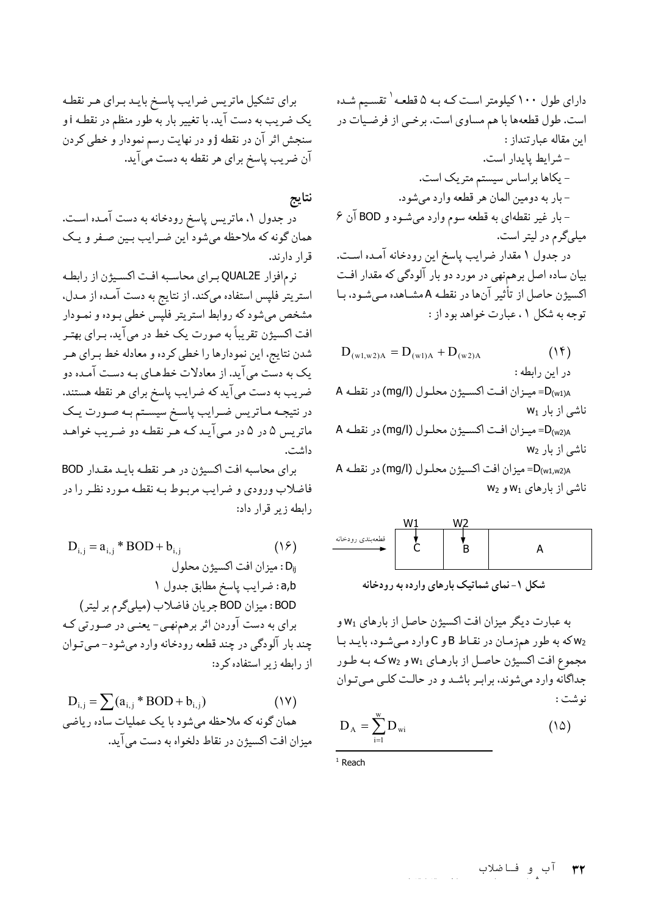برای تشکیل ماتریس ضرایب پاسخ بایـد بـرای هـر نقطـه یک ضریب به دست آید. با تغییر بار به طور منظم در نقطـه i و سنجش اثر آن در نقطه jو در نهایت رسم نمودار و خطی کردن آن ضریب پاسخ برای هر نقطه به دست میآید.

# نتايج

در جدول ۱. ماتریس پاسخ رودخانه به دست آمـده اسـت. همان گونه که ملاحظه میشود این ضرایب بـین صـفر و یـک قرار دارند.

نرم افزار QUAL2E براي محاسبه افت اكسيژن از رابطه استریتر فلپس استفاده میکند. از نتایج به دست آمـده از مـدل. مشخص میشود که روابط استریتر فلپس خطی بـوده و نمـودار افت اکسیژن تقریباً به صورت یک خط در می آید. بـرای بهتـر شدن نتايج، اين نمودارها را خطي كرده و معادله خط بـراي هـر یک به دست می آید. از معادلات خطهـای بـه دسـت آمـده دو ضریب به دست میآید که ضرایب پاسخ برای هر نقطه هستند. در نتیجـه مـاتریس ضـرایب پاسـخ سیسـتم بـه صـورت یـک ماتریس ۵ در ۵ در می آیـد کـه هـر نقطـه دو ضـریب خواهـد داشت.

برای محاسبه افت اکسیژن در هـر نقطـه بایـد مقـدار BOD فاضلاب ورودي و ضرايب مربـوط بـه نقطـه مـورد نظـر را در رابطه زبر قرار داد:

$$
D_{i,j} = a_{i,j} * BOD + b_{i,j}
$$
\n
$$
D_{i,j} = a_{i,j} * BOD + b_{i,j}
$$
\n
$$
D_{ij} = b_{i,j} \cdot b_{i,j}
$$
\n
$$
D_{ij} = a_{i,j} \cdot b_{i,j}
$$
\n
$$
BOD \cdot b_{i,j} = BOD
$$
\n
$$
BOD \cdot b_{i,j} = BOD
$$
\n
$$
BOD \cdot b_{i,j} = b_{i,j}
$$
\n
$$
BOD \cdot b_{i,j} = b_{i,j}
$$
\n
$$
BOD \cdot b_{i,j} = b_{i,j}
$$
\n
$$
BOD \cdot b_{i,j} = b_{i,j}
$$
\n
$$
BOD \cdot b_{i,j} = b_{i,j}
$$
\n
$$
BOD \cdot b_{i,j} = b_{i,j}
$$
\n
$$
BOD \cdot b_{i,j} = b_{i,j}
$$
\n
$$
BOD \cdot b_{i,j} = b_{i,j}
$$
\n
$$
BOD \cdot b_{i,j} = b_{i,j}
$$
\n
$$
BOD \cdot b_{i,j} = b_{i,j}
$$
\n
$$
BOD \cdot b_{i,j} = b_{i,j}
$$
\n
$$
BOD \cdot b_{i,j} = b_{i,j}
$$
\n
$$
BOD \cdot b_{i,j} = b_{i,j}
$$
\n
$$
BOD \cdot b_{i,j} = b_{i,j}
$$

$$
D_{i,j} = \sum (a_{i,j} * BOD + b_{i,j})
$$
 (1V)  
همان گونه که ملاحظه میشود با یک عملیات ساده ریاضی  
بیران افت اکسیژن در نقاط دلخواه به دست می آید.

دارای طول ۱۰۰ کیلومتر است کـه بـه ۵ قطعـه <sup>۱</sup> تقسـیم شـده است. طول قطعهها با هم مساوي است. برخـي از فرضـيات در اين مقاله عبار تنداز: - شرايط پايدار است. - یکاها براساس سیستم متریک است. -بار به دومين المان هر قطعه وارد ميشود. - بار غیر نقطهای به قطعه سوم وارد میشـود و BOD آن ۶ میلیگرم در لیتر است.

در جدول ۱ مقدار ضرایب پاسخ این رودخانه آمـده اسـت. بیان ساده اصل برهمنهی در مورد دو بار آلودگی که مقدار افت اکسیژن حاصل از تأثیر آنها در نقطـه A مشـاهده مـیشـود، بـا توحه به شکل ۱، عبارت خواهد بود از :

| $D_{(w1,w2)A} = D_{(w1)A} + D_{(w2)A}$ | (1f) |
|----------------------------------------|------|
| $c$ د این دابطه :                      |      |
| $A = D_{(w1)A}$                        |      |
| $W_{11} = D_{(w1)A}$                   |      |
| $W_{21} = D_{(w2)A}$                   |      |
| $W_{32} = D_{(w2)A}$                   |      |
| $W_{41} = D_{(w2)A}$                   |      |
| $W_{52} = D_{(w2)A}$                   |      |
| $W_{61} = D_{(w2)A}$                   |      |
| $W_{62} = D_{(w2)A}$                   |      |

D<sub>(w1,w2)A</sub> ميزان افت اكسيژن محلـول (mg/l) در  $W_2$  ناشی از بارهای  $W_1$ و  $W_2$ 

$$
\begin{array}{c|c}\n & \text{W1} & \text{W2} \\
\downarrow & \downarrow \\
 & C & B & A\n\end{array}
$$

شکل ۱- نمای شماتیک بارهای وارده به رودخانه

به عبارت ديگر ميزان افت اكسيژن حاصل از بارهاي W1 و و C وارد می شود، بایـد با B و C وارد می شود، بایـد با مجموع افت اکسیژن حاصل از بارهای W1 و W2 که به طور جداگانه وارد می شوند، برابر باشد و در حالت کلبی مبی توان نوشت :

$$
D_A = \sum_{i=1}^{w} D_{wi} \tag{10}
$$

 $1$  Reach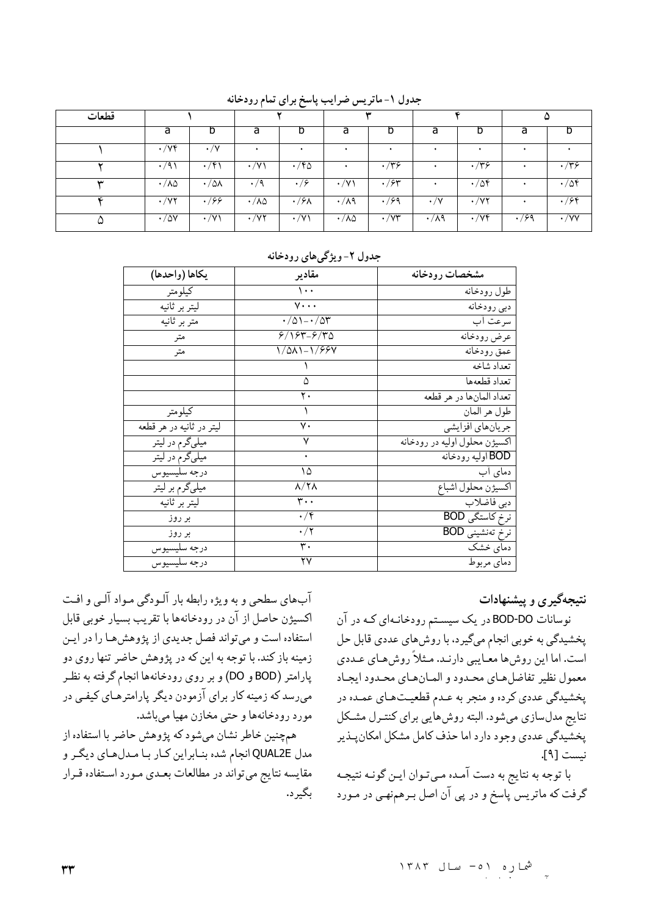| قطعات |                          |                       |                               |             |                          |                      |                   |             |      | w            |
|-------|--------------------------|-----------------------|-------------------------------|-------------|--------------------------|----------------------|-------------------|-------------|------|--------------|
|       | a                        | D                     | a                             | D           | a                        |                      | a                 |             | a    |              |
|       | $\cdot/\forall f$        | $\cdot/\Upsilon$      |                               |             |                          |                      |                   |             |      |              |
|       | $\cdot$ /9)              | $\cdot$ /۴۱           | $\cdot$ /Y)                   | $\cdot$ /۴۵ |                          | $\cdot$ /۳۶          |                   | $\cdot$ /۳۶ |      | $\cdot$ /۳۶  |
| س     | $\cdot / \lambda \Delta$ | $\cdot/\Delta\lambda$ | $\cdot/9$                     | $\cdot$ /۶  | $/\vee$<br>٠             | $\cdot$ /۶۳          |                   | $\cdot$ /04 |      | $\cdot$ / 54 |
| ĸ     | $\cdot$ / $\vee$ $\cdot$ | .799                  | $\cdot/\lambda\Delta$         | $\cdot$ /۶۸ | $\cdot/\lambda$ ۹        | $\cdot$ /99          | $\cdot/\Upsilon$  | $\cdot$ /y۲ |      | .799         |
|       | $\cdot$ / $\Delta$ Y     | $\cdot$ /Y)           | $\overline{\cdot}$ / $\gamma$ | $\cdot$ /Y) | $\cdot / \lambda \Delta$ | $\cdot$ / $\vee\tau$ | $\cdot/\lambda$ ۹ | $\cdot$ /yf | .799 | $\cdot$ /yy  |

جدول ١-ماتريس ضرايب پاسخ براي تمام رودخانه

| يكاها (واحدها)           | مقادير                        | مشخصات رودخانه                |
|--------------------------|-------------------------------|-------------------------------|
| كيلومتر                  | $\cdots$                      | طول رودخانه                   |
| ليتر بر ثانية            | $v \cdots$                    | دبي رودخانه                   |
| متر بر ثانیه             | $\cdot$ /01- $\cdot$ /05      | سرعت اب                       |
| متر                      | $8/184 - 8/40$                | عرض رودخانه                   |
| متر                      | 1/011-1/994                   | عمق رودخانه                   |
|                          |                               | تعداد شاخه                    |
|                          | ۵                             | تعداد قطعهها                  |
|                          | ۲.                            | تعداد المانها در هر قطعه      |
| كيلومتر                  |                               | طول هر المان                  |
| ليتر در ثانيه در هر قطعه | ٧.                            | جریانهای افزایشی              |
| میلیگرم در لیتر          |                               | اكسيژن محلول اوليه در رودخانه |
| میلیگرم در لیتر          |                               | BOD اوليه رودخانه             |
| درجه سليسيوس             | ۱۵                            | دمای آب                       |
| میلیگرم بر لیتر          | $\lambda/\Upsilon\Lambda$     | اكسيژن محلول اشباع            |
| ليتر بر ثانيه            | $\mathbf{r} \cdot \mathbf{A}$ | دبی فاضلاب                    |
| بر روز                   | $\cdot/\mathfrak{f}$          | نرخ کاستگی BOD                |
| بر روز                   | $\cdot/$ ۲                    | نرخ تەنشىنى BOD               |
| درجه سليسيوس             | ٣٠                            | دمای خشک                      |
| درجه سليسيوس             | ۲۷                            | دماي مربوط                    |

#### جدول ۲-ویژگیهای رودخانه

## نتیجهگیری و پیشنهادات

نوسانات BOD-DO در یک سیستم رودخانـهای کـه در آن پخشیدگی به خوبی انجام میگیرد، با روش های عددی قابل حل است. اما این روش ها معـایبی دارنـد. مـثلاً روش هـای عـددی معمول نظير تفاضل هاى محدود و المان هاى محدود ايجاد يخشيدگي عددي كرده و منجر به عـدم قطعيـتهـاي عمـده در نتایج مدلسازی میشود. البته روش هایی برای کنتـرل مشـکل پخشیدگی عددی وجود دارد اما حذف کامل مشکل امکان پـذیر نىست [٩].

با توجه به نتايج به دست آمـده مـيتـوان ايـن گونـه نتيجـه گرفت که ماتریس پاسخ و در پی آن اصل بـرهمنهـی در مـورد

آبهای سطحی و به ویژه رابطه بار آلـودگی مـواد آلـی و افـت اكسيژن حاصل از آن در رودخانهها با تقريب بسيار خوبي قابل استفاده است و میتواند فصل جدیدی از پژوهش ها را در این زمینه باز کند. با توجه به این که در پژوهش حاضر تنها روی دو پارامتر (BOD و DO) و بر روی رودخانهها انجام گرفته به نظر می رسد که زمینه کار برای آزمودن دیگر پارامترهـای کیفـی در مورد رودخانهها و حتى مخازن مهيا مىباشد.

همچنین خاطر نشان میشود که پژوهش حاضر با استفاده از مدل QUAL2E انجام شده بنـابراين كـار بـا مـدلهـاي ديگـر و مقايسه نتايج مي تواند در مطالعات بعـدي مـورد اسـتفاده قـرار ىگىر د.